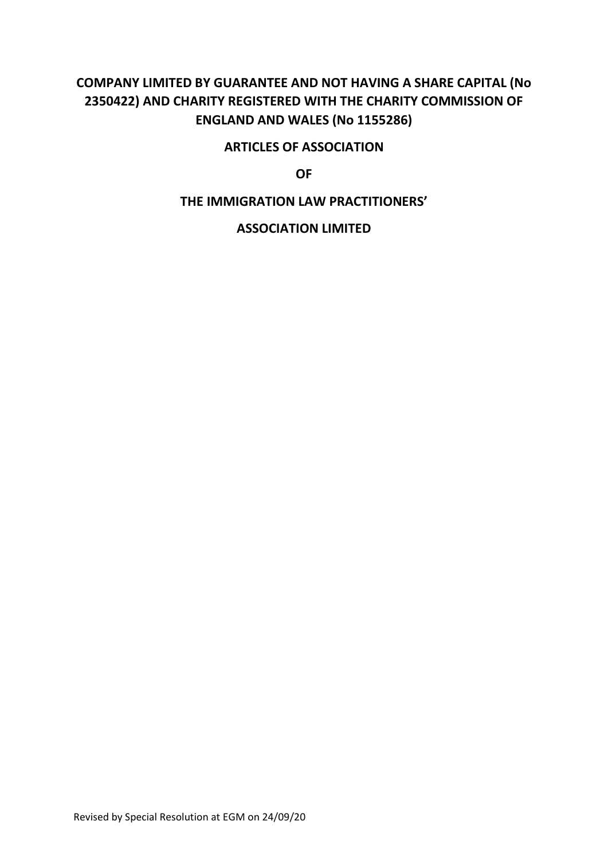# **COMPANY LIMITED BY GUARANTEE AND NOT HAVING A SHARE CAPITAL (No 2350422) AND CHARITY REGISTERED WITH THE CHARITY COMMISSION OF ENGLAND AND WALES (No 1155286)**

# **ARTICLES OF ASSOCIATION**

**OF**

# **THE IMMIGRATION LAW PRACTITIONERS'**

# **ASSOCIATION LIMITED**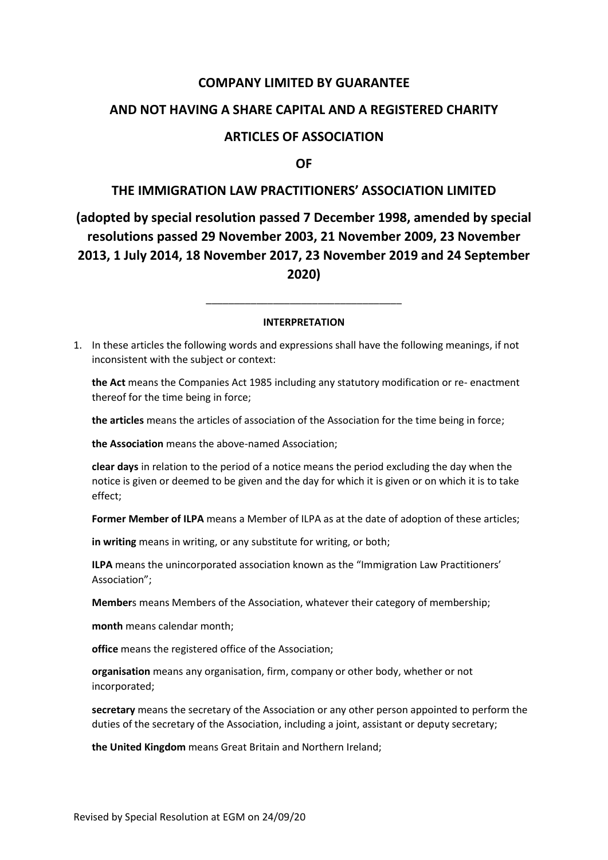# **COMPANY LIMITED BY GUARANTEE**

# **AND NOT HAVING A SHARE CAPITAL AND A REGISTERED CHARITY**

# **ARTICLES OF ASSOCIATION**

**OF**

## **THE IMMIGRATION LAW PRACTITIONERS' ASSOCIATION LIMITED**

# **(adopted by special resolution passed 7 December 1998, amended by special resolutions passed 29 November 2003, 21 November 2009, 23 November 2013, 1 July 2014, 18 November 2017, 23 November 2019 and 24 September 2020)**

#### **INTERPRETATION**

\_\_\_\_\_\_\_\_\_\_\_\_\_\_\_\_\_\_\_\_\_\_\_\_\_\_\_\_\_\_\_\_\_\_\_

1. In these articles the following words and expressions shall have the following meanings, if not inconsistent with the subject or context:

**the Act** means the Companies Act 1985 including any statutory modification or re- enactment thereof for the time being in force;

**the articles** means the articles of association of the Association for the time being in force;

**the Association** means the above-named Association;

**clear days** in relation to the period of a notice means the period excluding the day when the notice is given or deemed to be given and the day for which it is given or on which it is to take effect;

**Former Member of ILPA** means a Member of ILPA as at the date of adoption of these articles;

**in writing** means in writing, or any substitute for writing, or both;

**ILPA** means the unincorporated association known as the "Immigration Law Practitioners' Association";

**Member**s means Members of the Association, whatever their category of membership;

**month** means calendar month;

**office** means the registered office of the Association;

**organisation** means any organisation, firm, company or other body, whether or not incorporated;

**secretary** means the secretary of the Association or any other person appointed to perform the duties of the secretary of the Association, including a joint, assistant or deputy secretary;

**the United Kingdom** means Great Britain and Northern Ireland;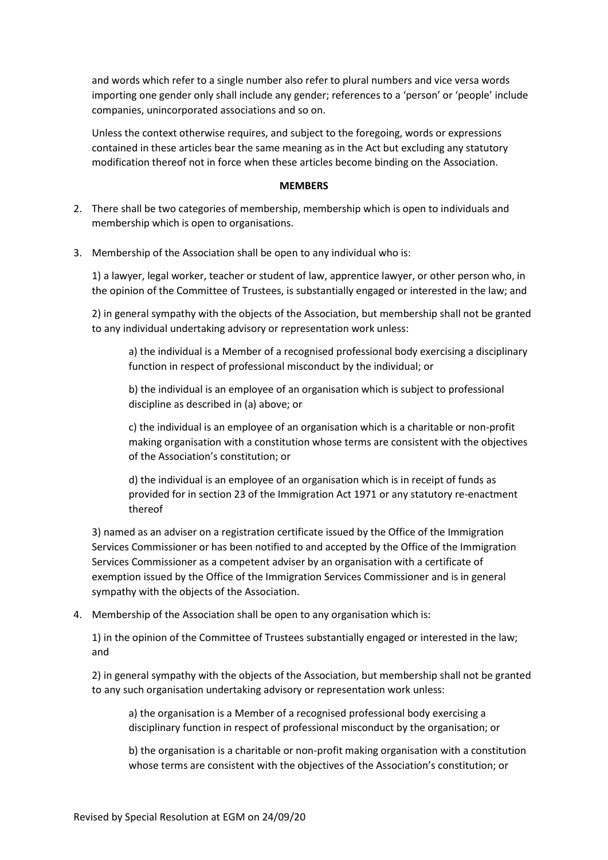and words which refer to a single number also refer to plural numbers and vice versa words importing one gender only shall include any gender; references to a 'person' or 'people' include companies, unincorporated associations and so on.

Unless the context otherwise requires, and subject to the foregoing, words or expressions contained in these articles bear the same meaning as in the Act but excluding any statutory modification thereof not in force when these articles become binding on the Association.

#### **MEMBERS**

- 2. There shall be two categories of membership, membership which is open to individuals and membership which is open to organisations.
- 3. Membership of the Association shall be open to any individual who is:

1) a lawyer, legal worker, teacher or student of law, apprentice lawyer, or other person who, in the opinion of the Committee of Trustees, is substantially engaged or interested in the law; and

2) in general sympathy with the objects of the Association, but membership shall not be granted to any individual undertaking advisory or representation work unless:

a) the individual is a Member of a recognised professional body exercising a disciplinary function in respect of professional misconduct by the individual; or

b) the individual is an employee of an organisation which is subject to professional discipline as described in (a) above; or

c) the individual is an employee of an organisation which is a charitable or non-profit making organisation with a constitution whose terms are consistent with the objectives of the Association's constitution; or

d) the individual is an employee of an organisation which is in receipt of funds as provided for in section 23 of the Immigration Act 1971 or any statutory re-enactment thereof

3) named as an adviser on a registration certificate issued by the Office of the Immigration Services Commissioner or has been notified to and accepted by the Office of the Immigration Services Commissioner as a competent adviser by an organisation with a certificate of exemption issued by the Office of the Immigration Services Commissioner and is in general sympathy with the objects of the Association.

#### 4. Membership of the Association shall be open to any organisation which is:

1) in the opinion of the Committee of Trustees substantially engaged or interested in the law; and

2) in general sympathy with the objects of the Association, but membership shall not be granted to any such organisation undertaking advisory or representation work unless:

a) the organisation is a Member of a recognised professional body exercising a disciplinary function in respect of professional misconduct by the organisation; or

b) the organisation is a charitable or non-profit making organisation with a constitution whose terms are consistent with the objectives of the Association's constitution; or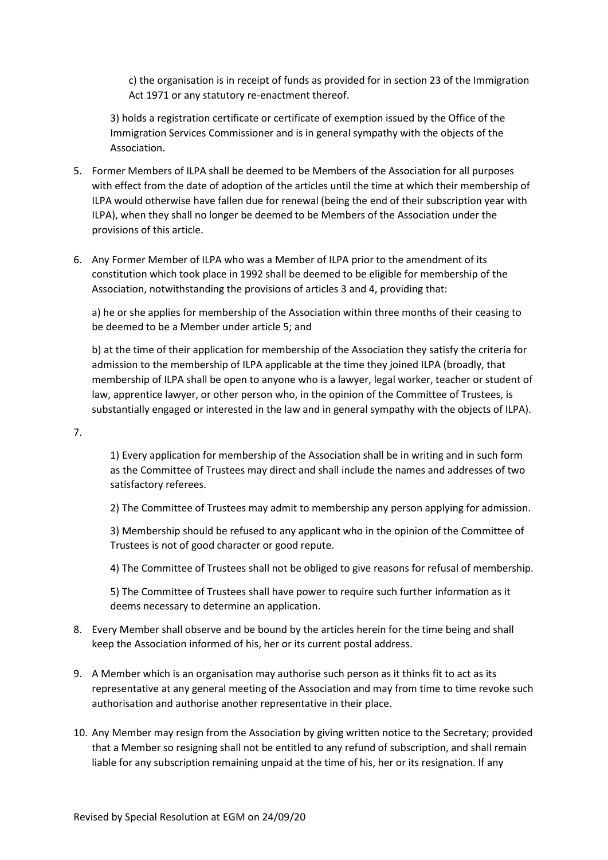c) the organisation is in receipt of funds as provided for in section 23 of the Immigration Act 1971 or any statutory re-enactment thereof.

3) holds a registration certificate or certificate of exemption issued by the Office of the Immigration Services Commissioner and is in general sympathy with the objects of the Association.

- 5. Former Members of ILPA shall be deemed to be Members of the Association for all purposes with effect from the date of adoption of the articles until the time at which their membership of ILPA would otherwise have fallen due for renewal (being the end of their subscription year with ILPA), when they shall no longer be deemed to be Members of the Association under the provisions of this article.
- 6. Any Former Member of ILPA who was a Member of ILPA prior to the amendment of its constitution which took place in 1992 shall be deemed to be eligible for membership of the Association, notwithstanding the provisions of articles 3 and 4, providing that:

a) he or she applies for membership of the Association within three months of their ceasing to be deemed to be a Member under article 5; and

b) at the time of their application for membership of the Association they satisfy the criteria for admission to the membership of ILPA applicable at the time they joined ILPA (broadly, that membership of ILPA shall be open to anyone who is a lawyer, legal worker, teacher or student of law, apprentice lawyer, or other person who, in the opinion of the Committee of Trustees, is substantially engaged or interested in the law and in general sympathy with the objects of ILPA).

7.

1) Every application for membership of the Association shall be in writing and in such form as the Committee of Trustees may direct and shall include the names and addresses of two satisfactory referees.

2) The Committee of Trustees may admit to membership any person applying for admission.

3) Membership should be refused to any applicant who in the opinion of the Committee of Trustees is not of good character or good repute.

4) The Committee of Trustees shall not be obliged to give reasons for refusal of membership.

5) The Committee of Trustees shall have power to require such further information as it deems necessary to determine an application.

- 8. Every Member shall observe and be bound by the articles herein for the time being and shall keep the Association informed of his, her or its current postal address.
- 9. A Member which is an organisation may authorise such person as it thinks fit to act as its representative at any general meeting of the Association and may from time to time revoke such authorisation and authorise another representative in their place.
- 10. Any Member may resign from the Association by giving written notice to the Secretary; provided that a Member so resigning shall not be entitled to any refund of subscription, and shall remain liable for any subscription remaining unpaid at the time of his, her or its resignation. If any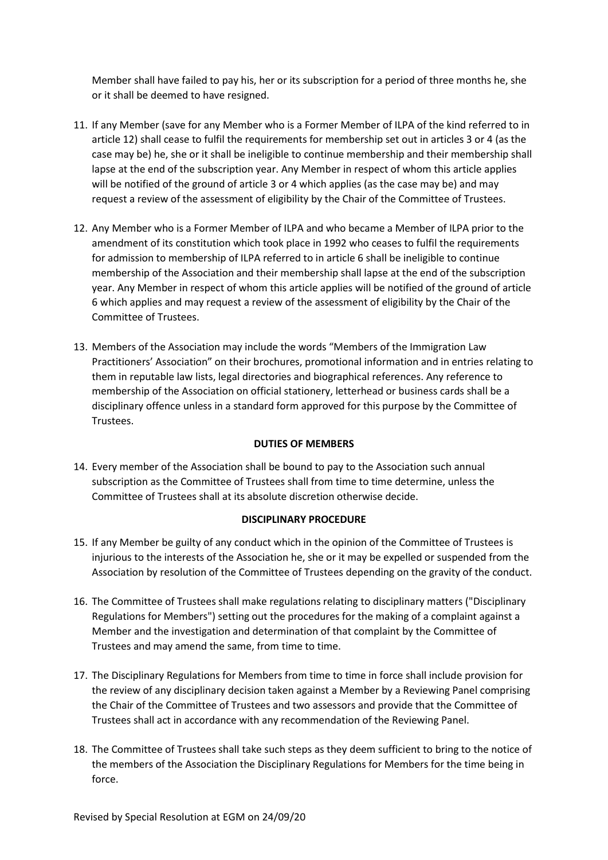Member shall have failed to pay his, her or its subscription for a period of three months he, she or it shall be deemed to have resigned.

- 11. If any Member (save for any Member who is a Former Member of ILPA of the kind referred to in article 12) shall cease to fulfil the requirements for membership set out in articles 3 or 4 (as the case may be) he, she or it shall be ineligible to continue membership and their membership shall lapse at the end of the subscription year. Any Member in respect of whom this article applies will be notified of the ground of article 3 or 4 which applies (as the case may be) and may request a review of the assessment of eligibility by the Chair of the Committee of Trustees.
- 12. Any Member who is a Former Member of ILPA and who became a Member of ILPA prior to the amendment of its constitution which took place in 1992 who ceases to fulfil the requirements for admission to membership of ILPA referred to in article 6 shall be ineligible to continue membership of the Association and their membership shall lapse at the end of the subscription year. Any Member in respect of whom this article applies will be notified of the ground of article 6 which applies and may request a review of the assessment of eligibility by the Chair of the Committee of Trustees.
- 13. Members of the Association may include the words "Members of the Immigration Law Practitioners' Association" on their brochures, promotional information and in entries relating to them in reputable law lists, legal directories and biographical references. Any reference to membership of the Association on official stationery, letterhead or business cards shall be a disciplinary offence unless in a standard form approved for this purpose by the Committee of Trustees.

## **DUTIES OF MEMBERS**

14. Every member of the Association shall be bound to pay to the Association such annual subscription as the Committee of Trustees shall from time to time determine, unless the Committee of Trustees shall at its absolute discretion otherwise decide.

#### **DISCIPLINARY PROCEDURE**

- 15. If any Member be guilty of any conduct which in the opinion of the Committee of Trustees is injurious to the interests of the Association he, she or it may be expelled or suspended from the Association by resolution of the Committee of Trustees depending on the gravity of the conduct.
- 16. The Committee of Trustees shall make regulations relating to disciplinary matters ("Disciplinary Regulations for Members") setting out the procedures for the making of a complaint against a Member and the investigation and determination of that complaint by the Committee of Trustees and may amend the same, from time to time.
- 17. The Disciplinary Regulations for Members from time to time in force shall include provision for the review of any disciplinary decision taken against a Member by a Reviewing Panel comprising the Chair of the Committee of Trustees and two assessors and provide that the Committee of Trustees shall act in accordance with any recommendation of the Reviewing Panel.
- 18. The Committee of Trustees shall take such steps as they deem sufficient to bring to the notice of the members of the Association the Disciplinary Regulations for Members for the time being in force.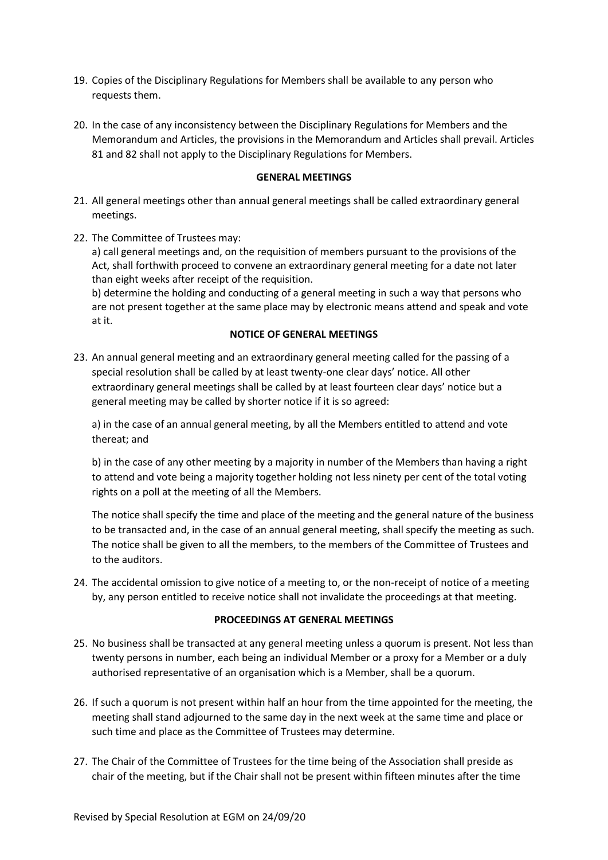- 19. Copies of the Disciplinary Regulations for Members shall be available to any person who requests them.
- 20. In the case of any inconsistency between the Disciplinary Regulations for Members and the Memorandum and Articles, the provisions in the Memorandum and Articles shall prevail. Articles 81 and 82 shall not apply to the Disciplinary Regulations for Members.

#### **GENERAL MEETINGS**

- 21. All general meetings other than annual general meetings shall be called extraordinary general meetings.
- 22. The Committee of Trustees may:

a) call general meetings and, on the requisition of members pursuant to the provisions of the Act, shall forthwith proceed to convene an extraordinary general meeting for a date not later than eight weeks after receipt of the requisition.

b) determine the holding and conducting of a general meeting in such a way that persons who are not present together at the same place may by electronic means attend and speak and vote at it.

#### **NOTICE OF GENERAL MEETINGS**

23. An annual general meeting and an extraordinary general meeting called for the passing of a special resolution shall be called by at least twenty-one clear days' notice. All other extraordinary general meetings shall be called by at least fourteen clear days' notice but a general meeting may be called by shorter notice if it is so agreed:

a) in the case of an annual general meeting, by all the Members entitled to attend and vote thereat; and

b) in the case of any other meeting by a majority in number of the Members than having a right to attend and vote being a majority together holding not less ninety per cent of the total voting rights on a poll at the meeting of all the Members.

The notice shall specify the time and place of the meeting and the general nature of the business to be transacted and, in the case of an annual general meeting, shall specify the meeting as such. The notice shall be given to all the members, to the members of the Committee of Trustees and to the auditors.

24. The accidental omission to give notice of a meeting to, or the non-receipt of notice of a meeting by, any person entitled to receive notice shall not invalidate the proceedings at that meeting.

#### **PROCEEDINGS AT GENERAL MEETINGS**

- 25. No business shall be transacted at any general meeting unless a quorum is present. Not less than twenty persons in number, each being an individual Member or a proxy for a Member or a duly authorised representative of an organisation which is a Member, shall be a quorum.
- 26. If such a quorum is not present within half an hour from the time appointed for the meeting, the meeting shall stand adjourned to the same day in the next week at the same time and place or such time and place as the Committee of Trustees may determine.
- 27. The Chair of the Committee of Trustees for the time being of the Association shall preside as chair of the meeting, but if the Chair shall not be present within fifteen minutes after the time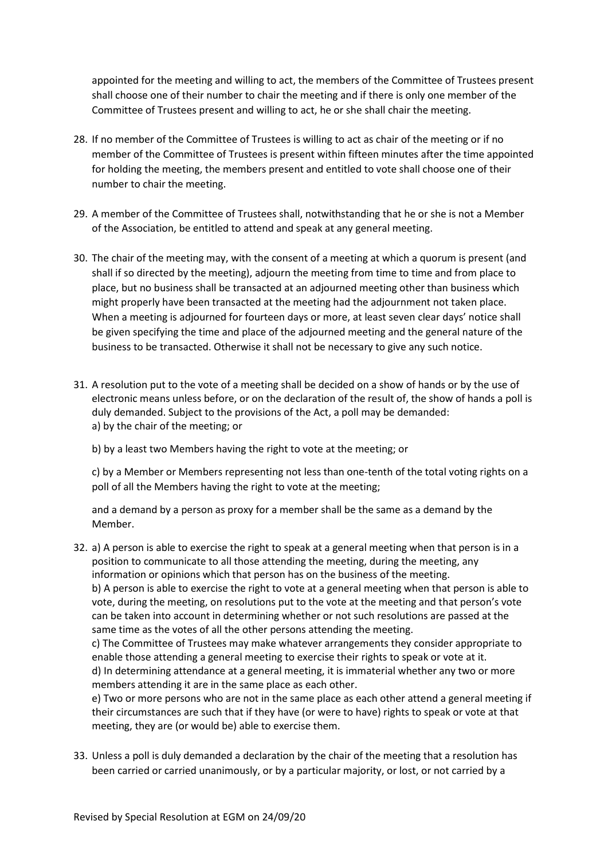appointed for the meeting and willing to act, the members of the Committee of Trustees present shall choose one of their number to chair the meeting and if there is only one member of the Committee of Trustees present and willing to act, he or she shall chair the meeting.

- 28. If no member of the Committee of Trustees is willing to act as chair of the meeting or if no member of the Committee of Trustees is present within fifteen minutes after the time appointed for holding the meeting, the members present and entitled to vote shall choose one of their number to chair the meeting.
- 29. A member of the Committee of Trustees shall, notwithstanding that he or she is not a Member of the Association, be entitled to attend and speak at any general meeting.
- 30. The chair of the meeting may, with the consent of a meeting at which a quorum is present (and shall if so directed by the meeting), adjourn the meeting from time to time and from place to place, but no business shall be transacted at an adjourned meeting other than business which might properly have been transacted at the meeting had the adjournment not taken place. When a meeting is adjourned for fourteen days or more, at least seven clear days' notice shall be given specifying the time and place of the adjourned meeting and the general nature of the business to be transacted. Otherwise it shall not be necessary to give any such notice.
- 31. A resolution put to the vote of a meeting shall be decided on a show of hands or by the use of electronic means unless before, or on the declaration of the result of, the show of hands a poll is duly demanded. Subject to the provisions of the Act, a poll may be demanded: a) by the chair of the meeting; or
	- b) by a least two Members having the right to vote at the meeting; or

c) by a Member or Members representing not less than one-tenth of the total voting rights on a poll of all the Members having the right to vote at the meeting;

and a demand by a person as proxy for a member shall be the same as a demand by the Member.

32. a) A person is able to exercise the right to speak at a general meeting when that person is in a position to communicate to all those attending the meeting, during the meeting, any information or opinions which that person has on the business of the meeting. b) A person is able to exercise the right to vote at a general meeting when that person is able to vote, during the meeting, on resolutions put to the vote at the meeting and that person's vote can be taken into account in determining whether or not such resolutions are passed at the same time as the votes of all the other persons attending the meeting. c) The Committee of Trustees may make whatever arrangements they consider appropriate to enable those attending a general meeting to exercise their rights to speak or vote at it. d) In determining attendance at a general meeting, it is immaterial whether any two or more members attending it are in the same place as each other. e) Two or more persons who are not in the same place as each other attend a general meeting if

their circumstances are such that if they have (or were to have) rights to speak or vote at that meeting, they are (or would be) able to exercise them.

33. Unless a poll is duly demanded a declaration by the chair of the meeting that a resolution has been carried or carried unanimously, or by a particular majority, or lost, or not carried by a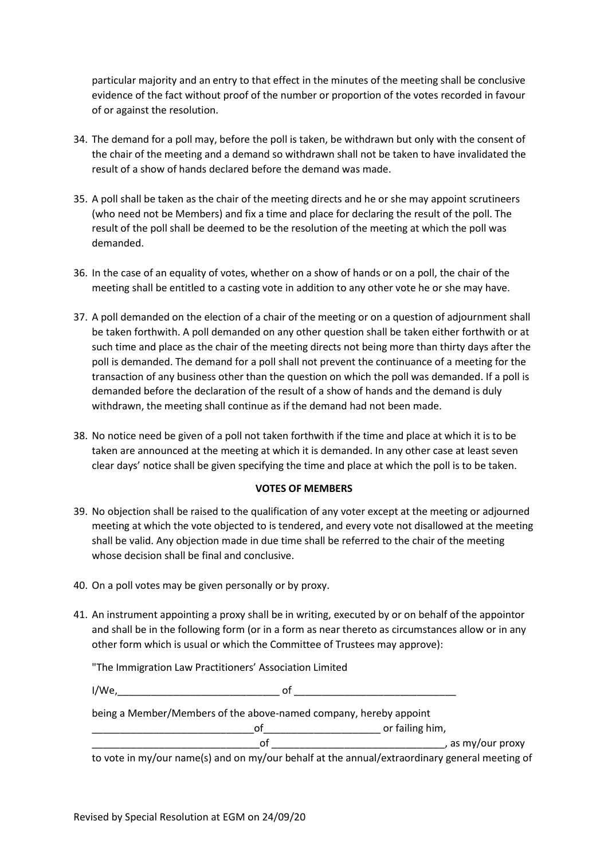particular majority and an entry to that effect in the minutes of the meeting shall be conclusive evidence of the fact without proof of the number or proportion of the votes recorded in favour of or against the resolution.

- 34. The demand for a poll may, before the poll is taken, be withdrawn but only with the consent of the chair of the meeting and a demand so withdrawn shall not be taken to have invalidated the result of a show of hands declared before the demand was made.
- 35. A poll shall be taken as the chair of the meeting directs and he or she may appoint scrutineers (who need not be Members) and fix a time and place for declaring the result of the poll. The result of the poll shall be deemed to be the resolution of the meeting at which the poll was demanded.
- 36. In the case of an equality of votes, whether on a show of hands or on a poll, the chair of the meeting shall be entitled to a casting vote in addition to any other vote he or she may have.
- 37. A poll demanded on the election of a chair of the meeting or on a question of adjournment shall be taken forthwith. A poll demanded on any other question shall be taken either forthwith or at such time and place as the chair of the meeting directs not being more than thirty days after the poll is demanded. The demand for a poll shall not prevent the continuance of a meeting for the transaction of any business other than the question on which the poll was demanded. If a poll is demanded before the declaration of the result of a show of hands and the demand is duly withdrawn, the meeting shall continue as if the demand had not been made.
- 38. No notice need be given of a poll not taken forthwith if the time and place at which it is to be taken are announced at the meeting at which it is demanded. In any other case at least seven clear days' notice shall be given specifying the time and place at which the poll is to be taken.

#### **VOTES OF MEMBERS**

- 39. No objection shall be raised to the qualification of any voter except at the meeting or adjourned meeting at which the vote objected to is tendered, and every vote not disallowed at the meeting shall be valid. Any objection made in due time shall be referred to the chair of the meeting whose decision shall be final and conclusive.
- 40. On a poll votes may be given personally or by proxy.
- 41. An instrument appointing a proxy shall be in writing, executed by or on behalf of the appointor and shall be in the following form (or in a form as near thereto as circumstances allow or in any other form which is usual or which the Committee of Trustees may approve):

"The Immigration Law Practitioners' Association Limited

I/We,\_\_\_\_\_\_\_\_\_\_\_\_\_\_\_\_\_\_\_\_\_\_\_\_\_\_\_\_\_ of \_\_\_\_\_\_\_\_\_\_\_\_\_\_\_\_\_\_\_\_\_\_\_\_\_\_\_\_\_

being a Member/Members of the above-named company, hereby appoint

\_\_\_\_\_\_\_\_\_\_\_\_\_\_\_\_\_\_\_\_\_\_\_\_\_\_\_\_\_of\_\_\_\_\_\_\_\_\_\_\_\_\_\_\_\_\_\_\_\_\_ or failing him,

\_\_\_\_\_\_\_\_\_\_\_\_\_\_\_\_\_\_\_\_\_\_\_\_\_\_\_\_\_\_of \_\_\_\_\_\_\_\_\_\_\_\_\_\_\_\_\_\_\_\_\_\_\_\_\_\_\_\_\_\_\_, as my/our proxy

to vote in my/our name(s) and on my/our behalf at the annual/extraordinary general meeting of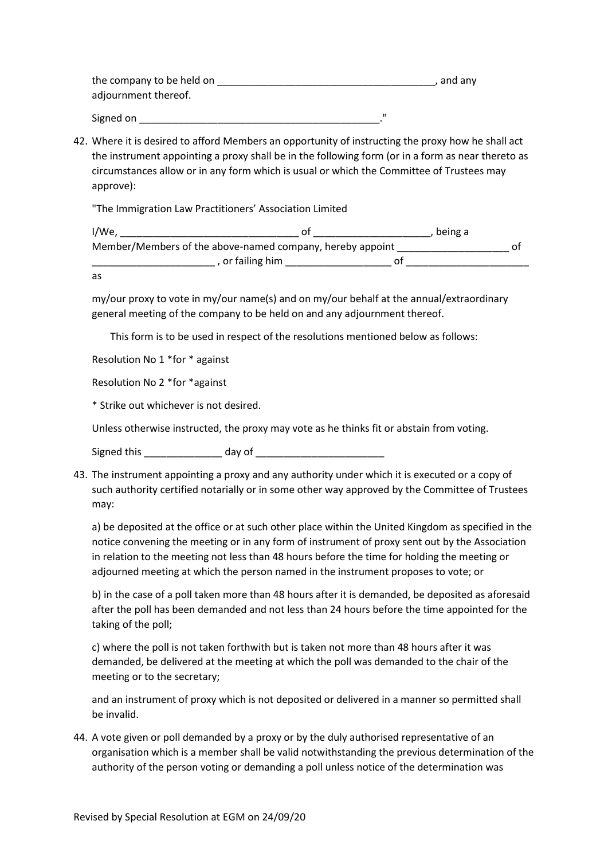| the company to be held on | , and any |
|---------------------------|-----------|
| adjournment thereof.      |           |
| Signed on                 | п         |

42. Where it is desired to afford Members an opportunity of instructing the proxy how he shall act the instrument appointing a proxy shall be in the following form (or in a form as near thereto as circumstances allow or in any form which is usual or which the Committee of Trustees may approve):

"The Immigration Law Practitioners' Association Limited

| I/We,                                                     | being a |  |
|-----------------------------------------------------------|---------|--|
| Member/Members of the above-named company, hereby appoint |         |  |
| , or failing him                                          |         |  |

as

my/our proxy to vote in my/our name(s) and on my/our behalf at the annual/extraordinary general meeting of the company to be held on and any adjournment thereof.

This form is to be used in respect of the resolutions mentioned below as follows:

Resolution No 1 \*for \* against

Resolution No 2 \*for \*against

\* Strike out whichever is not desired.

Unless otherwise instructed, the proxy may vote as he thinks fit or abstain from voting.

Signed this \_\_\_\_\_\_\_\_\_\_\_\_\_\_ day of \_\_\_\_\_\_\_\_\_\_\_\_\_\_\_\_\_\_\_\_\_\_\_

43. The instrument appointing a proxy and any authority under which it is executed or a copy of such authority certified notarially or in some other way approved by the Committee of Trustees may:

a) be deposited at the office or at such other place within the United Kingdom as specified in the notice convening the meeting or in any form of instrument of proxy sent out by the Association in relation to the meeting not less than 48 hours before the time for holding the meeting or adjourned meeting at which the person named in the instrument proposes to vote; or

b) in the case of a poll taken more than 48 hours after it is demanded, be deposited as aforesaid after the poll has been demanded and not less than 24 hours before the time appointed for the taking of the poll;

c) where the poll is not taken forthwith but is taken not more than 48 hours after it was demanded, be delivered at the meeting at which the poll was demanded to the chair of the meeting or to the secretary;

and an instrument of proxy which is not deposited or delivered in a manner so permitted shall be invalid.

44. A vote given or poll demanded by a proxy or by the duly authorised representative of an organisation which is a member shall be valid notwithstanding the previous determination of the authority of the person voting or demanding a poll unless notice of the determination was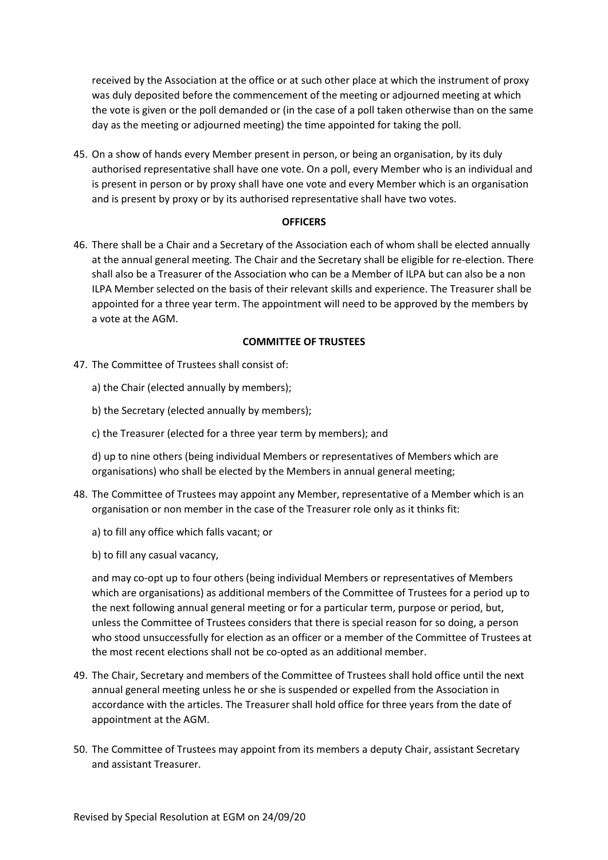received by the Association at the office or at such other place at which the instrument of proxy was duly deposited before the commencement of the meeting or adjourned meeting at which the vote is given or the poll demanded or (in the case of a poll taken otherwise than on the same day as the meeting or adjourned meeting) the time appointed for taking the poll.

45. On a show of hands every Member present in person, or being an organisation, by its duly authorised representative shall have one vote. On a poll, every Member who is an individual and is present in person or by proxy shall have one vote and every Member which is an organisation and is present by proxy or by its authorised representative shall have two votes.

#### **OFFICERS**

46. There shall be a Chair and a Secretary of the Association each of whom shall be elected annually at the annual general meeting. The Chair and the Secretary shall be eligible for re-election. There shall also be a Treasurer of the Association who can be a Member of ILPA but can also be a non ILPA Member selected on the basis of their relevant skills and experience. The Treasurer shall be appointed for a three year term. The appointment will need to be approved by the members by a vote at the AGM.

#### **COMMITTEE OF TRUSTEES**

- 47. The Committee of Trustees shall consist of:
	- a) the Chair (elected annually by members);
	- b) the Secretary (elected annually by members);
	- c) the Treasurer (elected for a three year term by members); and

d) up to nine others (being individual Members or representatives of Members which are organisations) who shall be elected by the Members in annual general meeting;

- 48. The Committee of Trustees may appoint any Member, representative of a Member which is an organisation or non member in the case of the Treasurer role only as it thinks fit:
	- a) to fill any office which falls vacant; or
	- b) to fill any casual vacancy,

and may co-opt up to four others (being individual Members or representatives of Members which are organisations) as additional members of the Committee of Trustees for a period up to the next following annual general meeting or for a particular term, purpose or period, but, unless the Committee of Trustees considers that there is special reason for so doing, a person who stood unsuccessfully for election as an officer or a member of the Committee of Trustees at the most recent elections shall not be co-opted as an additional member.

- 49. The Chair, Secretary and members of the Committee of Trustees shall hold office until the next annual general meeting unless he or she is suspended or expelled from the Association in accordance with the articles. The Treasurer shall hold office for three years from the date of appointment at the AGM.
- 50. The Committee of Trustees may appoint from its members a deputy Chair, assistant Secretary and assistant Treasurer.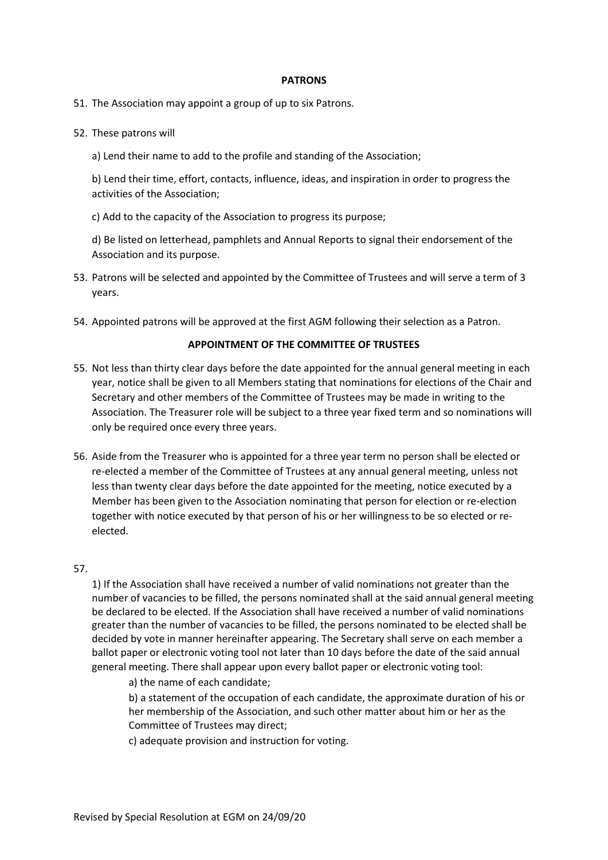#### **PATRONS**

- 51. The Association may appoint a group of up to six Patrons.
- 52. These patrons will
	- a) Lend their name to add to the profile and standing of the Association;

b) Lend their time, effort, contacts, influence, ideas, and inspiration in order to progress the activities of the Association;

c) Add to the capacity of the Association to progress its purpose;

d) Be listed on letterhead, pamphlets and Annual Reports to signal their endorsement of the Association and its purpose.

- 53. Patrons will be selected and appointed by the Committee of Trustees and will serve a term of 3 years.
- 54. Appointed patrons will be approved at the first AGM following their selection as a Patron.

#### **APPOINTMENT OF THE COMMITTEE OF TRUSTEES**

- 55. Not less than thirty clear days before the date appointed for the annual general meeting in each year, notice shall be given to all Members stating that nominations for elections of the Chair and Secretary and other members of the Committee of Trustees may be made in writing to the Association. The Treasurer role will be subject to a three year fixed term and so nominations will only be required once every three years.
- 56. Aside from the Treasurer who is appointed for a three year term no person shall be elected or re-elected a member of the Committee of Trustees at any annual general meeting, unless not less than twenty clear days before the date appointed for the meeting, notice executed by a Member has been given to the Association nominating that person for election or re-election together with notice executed by that person of his or her willingness to be so elected or reelected.

#### 57.

1) If the Association shall have received a number of valid nominations not greater than the number of vacancies to be filled, the persons nominated shall at the said annual general meeting be declared to be elected. If the Association shall have received a number of valid nominations greater than the number of vacancies to be filled, the persons nominated to be elected shall be decided by vote in manner hereinafter appearing. The Secretary shall serve on each member a ballot paper or electronic voting tool not later than 10 days before the date of the said annual general meeting. There shall appear upon every ballot paper or electronic voting tool:

a) the name of each candidate;

b) a statement of the occupation of each candidate, the approximate duration of his or her membership of the Association, and such other matter about him or her as the Committee of Trustees may direct;

c) adequate provision and instruction for voting.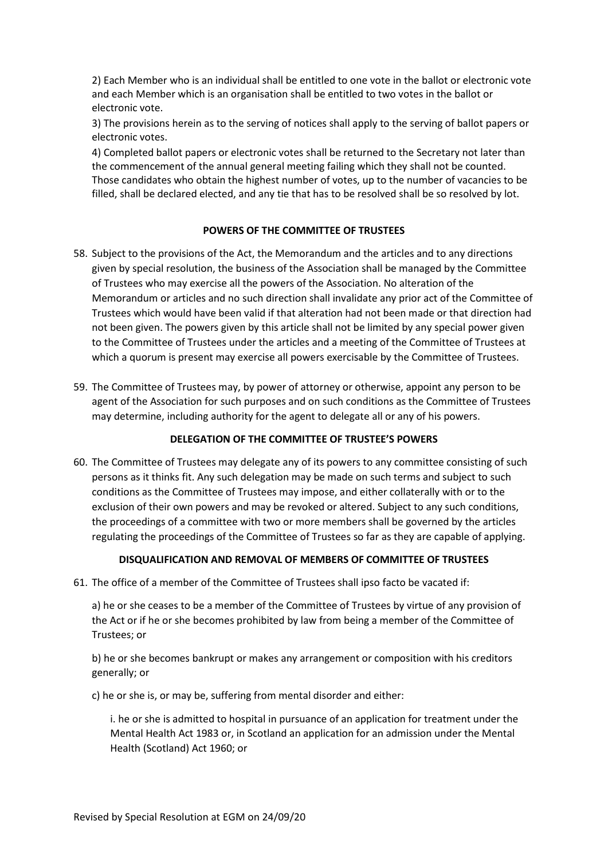2) Each Member who is an individual shall be entitled to one vote in the ballot or electronic vote and each Member which is an organisation shall be entitled to two votes in the ballot or electronic vote.

3) The provisions herein as to the serving of notices shall apply to the serving of ballot papers or electronic votes.

4) Completed ballot papers or electronic votes shall be returned to the Secretary not later than the commencement of the annual general meeting failing which they shall not be counted. Those candidates who obtain the highest number of votes, up to the number of vacancies to be filled, shall be declared elected, and any tie that has to be resolved shall be so resolved by lot.

#### **POWERS OF THE COMMITTEE OF TRUSTEES**

- 58. Subject to the provisions of the Act, the Memorandum and the articles and to any directions given by special resolution, the business of the Association shall be managed by the Committee of Trustees who may exercise all the powers of the Association. No alteration of the Memorandum or articles and no such direction shall invalidate any prior act of the Committee of Trustees which would have been valid if that alteration had not been made or that direction had not been given. The powers given by this article shall not be limited by any special power given to the Committee of Trustees under the articles and a meeting of the Committee of Trustees at which a quorum is present may exercise all powers exercisable by the Committee of Trustees.
- 59. The Committee of Trustees may, by power of attorney or otherwise, appoint any person to be agent of the Association for such purposes and on such conditions as the Committee of Trustees may determine, including authority for the agent to delegate all or any of his powers.

## **DELEGATION OF THE COMMITTEE OF TRUSTEE'S POWERS**

60. The Committee of Trustees may delegate any of its powers to any committee consisting of such persons as it thinks fit. Any such delegation may be made on such terms and subject to such conditions as the Committee of Trustees may impose, and either collaterally with or to the exclusion of their own powers and may be revoked or altered. Subject to any such conditions, the proceedings of a committee with two or more members shall be governed by the articles regulating the proceedings of the Committee of Trustees so far as they are capable of applying.

## **DISQUALIFICATION AND REMOVAL OF MEMBERS OF COMMITTEE OF TRUSTEES**

61. The office of a member of the Committee of Trustees shall ipso facto be vacated if:

a) he or she ceases to be a member of the Committee of Trustees by virtue of any provision of the Act or if he or she becomes prohibited by law from being a member of the Committee of Trustees; or

b) he or she becomes bankrupt or makes any arrangement or composition with his creditors generally; or

c) he or she is, or may be, suffering from mental disorder and either:

i. he or she is admitted to hospital in pursuance of an application for treatment under the Mental Health Act 1983 or, in Scotland an application for an admission under the Mental Health (Scotland) Act 1960; or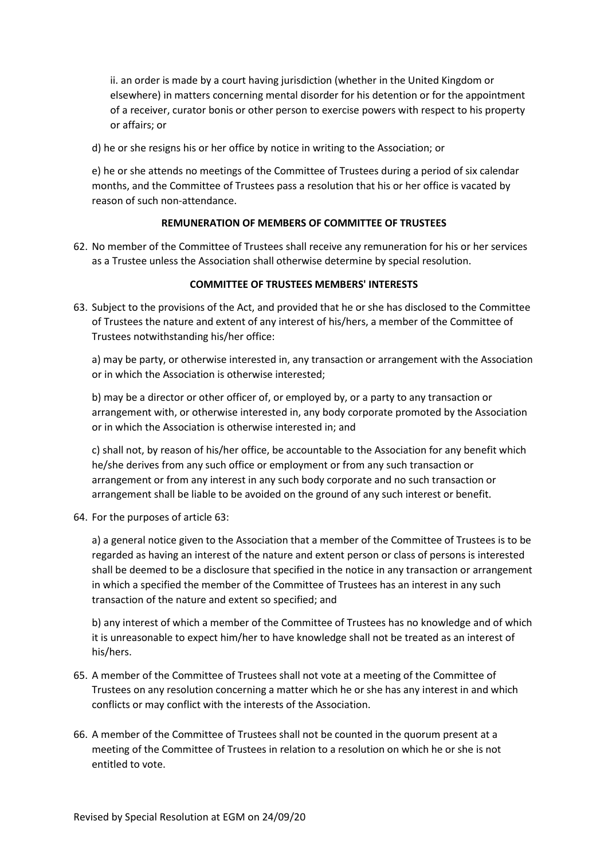ii. an order is made by a court having jurisdiction (whether in the United Kingdom or elsewhere) in matters concerning mental disorder for his detention or for the appointment of a receiver, curator bonis or other person to exercise powers with respect to his property or affairs; or

d) he or she resigns his or her office by notice in writing to the Association; or

e) he or she attends no meetings of the Committee of Trustees during a period of six calendar months, and the Committee of Trustees pass a resolution that his or her office is vacated by reason of such non-attendance.

## **REMUNERATION OF MEMBERS OF COMMITTEE OF TRUSTEES**

62. No member of the Committee of Trustees shall receive any remuneration for his or her services as a Trustee unless the Association shall otherwise determine by special resolution.

#### **COMMITTEE OF TRUSTEES MEMBERS' INTERESTS**

63. Subject to the provisions of the Act, and provided that he or she has disclosed to the Committee of Trustees the nature and extent of any interest of his/hers, a member of the Committee of Trustees notwithstanding his/her office:

a) may be party, or otherwise interested in, any transaction or arrangement with the Association or in which the Association is otherwise interested;

b) may be a director or other officer of, or employed by, or a party to any transaction or arrangement with, or otherwise interested in, any body corporate promoted by the Association or in which the Association is otherwise interested in; and

c) shall not, by reason of his/her office, be accountable to the Association for any benefit which he/she derives from any such office or employment or from any such transaction or arrangement or from any interest in any such body corporate and no such transaction or arrangement shall be liable to be avoided on the ground of any such interest or benefit.

64. For the purposes of article 63:

a) a general notice given to the Association that a member of the Committee of Trustees is to be regarded as having an interest of the nature and extent person or class of persons is interested shall be deemed to be a disclosure that specified in the notice in any transaction or arrangement in which a specified the member of the Committee of Trustees has an interest in any such transaction of the nature and extent so specified; and

b) any interest of which a member of the Committee of Trustees has no knowledge and of which it is unreasonable to expect him/her to have knowledge shall not be treated as an interest of his/hers.

- 65. A member of the Committee of Trustees shall not vote at a meeting of the Committee of Trustees on any resolution concerning a matter which he or she has any interest in and which conflicts or may conflict with the interests of the Association.
- 66. A member of the Committee of Trustees shall not be counted in the quorum present at a meeting of the Committee of Trustees in relation to a resolution on which he or she is not entitled to vote.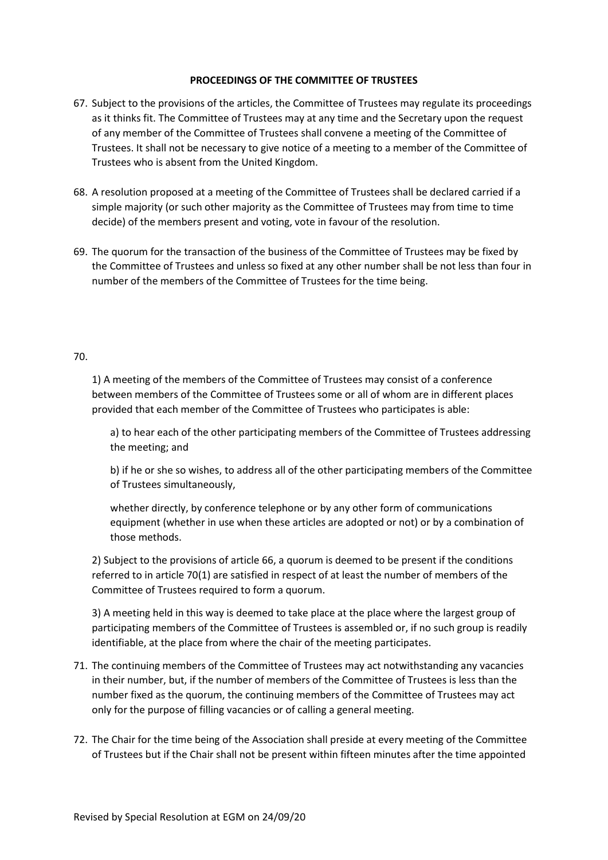#### **PROCEEDINGS OF THE COMMITTEE OF TRUSTEES**

- 67. Subject to the provisions of the articles, the Committee of Trustees may regulate its proceedings as it thinks fit. The Committee of Trustees may at any time and the Secretary upon the request of any member of the Committee of Trustees shall convene a meeting of the Committee of Trustees. It shall not be necessary to give notice of a meeting to a member of the Committee of Trustees who is absent from the United Kingdom.
- 68. A resolution proposed at a meeting of the Committee of Trustees shall be declared carried if a simple majority (or such other majority as the Committee of Trustees may from time to time decide) of the members present and voting, vote in favour of the resolution.
- 69. The quorum for the transaction of the business of the Committee of Trustees may be fixed by the Committee of Trustees and unless so fixed at any other number shall be not less than four in number of the members of the Committee of Trustees for the time being.

#### 70.

1) A meeting of the members of the Committee of Trustees may consist of a conference between members of the Committee of Trustees some or all of whom are in different places provided that each member of the Committee of Trustees who participates is able:

a) to hear each of the other participating members of the Committee of Trustees addressing the meeting; and

b) if he or she so wishes, to address all of the other participating members of the Committee of Trustees simultaneously,

whether directly, by conference telephone or by any other form of communications equipment (whether in use when these articles are adopted or not) or by a combination of those methods.

2) Subject to the provisions of article 66, a quorum is deemed to be present if the conditions referred to in article 70(1) are satisfied in respect of at least the number of members of the Committee of Trustees required to form a quorum.

3) A meeting held in this way is deemed to take place at the place where the largest group of participating members of the Committee of Trustees is assembled or, if no such group is readily identifiable, at the place from where the chair of the meeting participates.

- 71. The continuing members of the Committee of Trustees may act notwithstanding any vacancies in their number, but, if the number of members of the Committee of Trustees is less than the number fixed as the quorum, the continuing members of the Committee of Trustees may act only for the purpose of filling vacancies or of calling a general meeting.
- 72. The Chair for the time being of the Association shall preside at every meeting of the Committee of Trustees but if the Chair shall not be present within fifteen minutes after the time appointed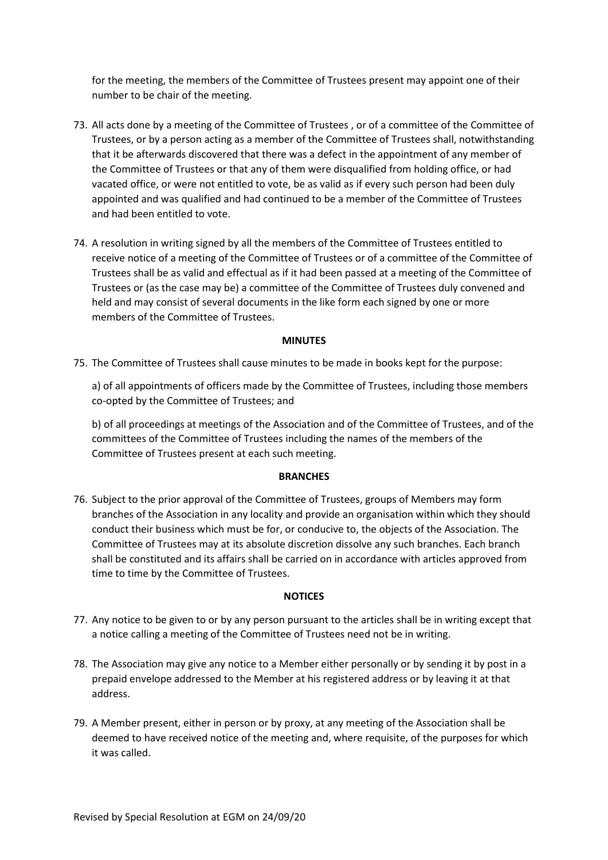for the meeting, the members of the Committee of Trustees present may appoint one of their number to be chair of the meeting.

- 73. All acts done by a meeting of the Committee of Trustees , or of a committee of the Committee of Trustees, or by a person acting as a member of the Committee of Trustees shall, notwithstanding that it be afterwards discovered that there was a defect in the appointment of any member of the Committee of Trustees or that any of them were disqualified from holding office, or had vacated office, or were not entitled to vote, be as valid as if every such person had been duly appointed and was qualified and had continued to be a member of the Committee of Trustees and had been entitled to vote.
- 74. A resolution in writing signed by all the members of the Committee of Trustees entitled to receive notice of a meeting of the Committee of Trustees or of a committee of the Committee of Trustees shall be as valid and effectual as if it had been passed at a meeting of the Committee of Trustees or (as the case may be) a committee of the Committee of Trustees duly convened and held and may consist of several documents in the like form each signed by one or more members of the Committee of Trustees.

#### **MINUTES**

75. The Committee of Trustees shall cause minutes to be made in books kept for the purpose:

a) of all appointments of officers made by the Committee of Trustees, including those members co-opted by the Committee of Trustees; and

b) of all proceedings at meetings of the Association and of the Committee of Trustees, and of the committees of the Committee of Trustees including the names of the members of the Committee of Trustees present at each such meeting.

#### **BRANCHES**

76. Subject to the prior approval of the Committee of Trustees, groups of Members may form branches of the Association in any locality and provide an organisation within which they should conduct their business which must be for, or conducive to, the objects of the Association. The Committee of Trustees may at its absolute discretion dissolve any such branches. Each branch shall be constituted and its affairs shall be carried on in accordance with articles approved from time to time by the Committee of Trustees.

#### **NOTICES**

- 77. Any notice to be given to or by any person pursuant to the articles shall be in writing except that a notice calling a meeting of the Committee of Trustees need not be in writing.
- 78. The Association may give any notice to a Member either personally or by sending it by post in a prepaid envelope addressed to the Member at his registered address or by leaving it at that address.
- 79. A Member present, either in person or by proxy, at any meeting of the Association shall be deemed to have received notice of the meeting and, where requisite, of the purposes for which it was called.